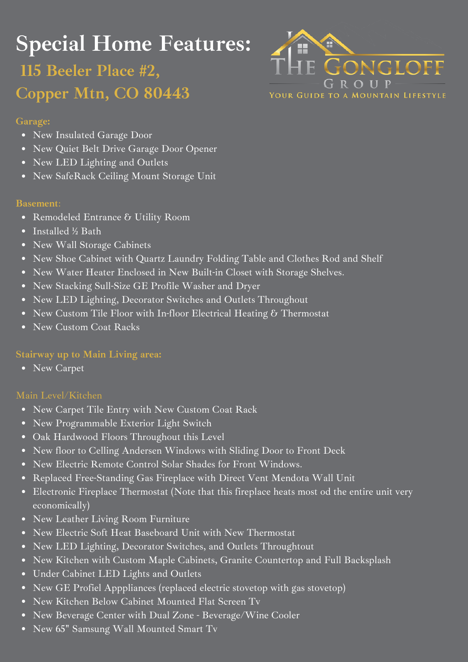# **Special Home Features:**

## **115 Beeler Place #2, Copper Mtn, CO 80443**



#### **Garage:**

- New Insulated Garage Door
- New Quiet Belt Drive Garage Door Opener
- New LED Lighting and Outlets
- New SafeRack Ceiling Mount Storage Unit

#### **Basement**:

- Remodeled Entrance & Utility Room
- Installed ½ Bath
- New Wall Storage Cabinets
- New Shoe Cabinet with Quartz Laundry Folding Table and Clothes Rod and Shelf
- New Water Heater Enclosed in New Built-in Closet with Storage Shelves.
- New Stacking Sull-Size GE Profile Washer and Dryer
- New LED Lighting, Decorator Switches and Outlets Throughout
- New Custom Tile Floor with In-floor Electrical Heating & Thermostat  $\bullet$
- New Custom Coat Racks

### **Stairway up to Main Living area:**

New Carpet

- New Carpet Tile Entry with New Custom Coat Rack
- New Programmable Exterior Light Switch
- Oak Hardwood Floors Throughout this Level
- New floor to Celling Andersen Windows with Sliding Door to Front Deck
- New Electric Remote Control Solar Shades for Front Windows.
- Replaced Free-Standing Gas Fireplace with Direct Vent Mendota Wall Unit
- Electronic Fireplace Thermostat (Note that this fireplace heats most od the entire unit very economically)
- New Leather Living Room Furniture
- New Electric Soft Heat Baseboard Unit with New Thermostat
- New LED Lighting, Decorator Switches, and Outlets Throughtout
- New Kitchen with Custom Maple Cabinets, Granite Countertop and Full Backsplash  $\bullet$
- Under Cabinet LED Lights and Outlets
- New GE Profiel Apppliances (replaced electric stovetop with gas stovetop)
- New Kitchen Below Cabinet Mounted Flat Screen Tv
- New Beverage Center with Dual Zone Beverage/Wine Cooler  $\bullet$
- New 65" Samsung Wall Mounted Smart Tv